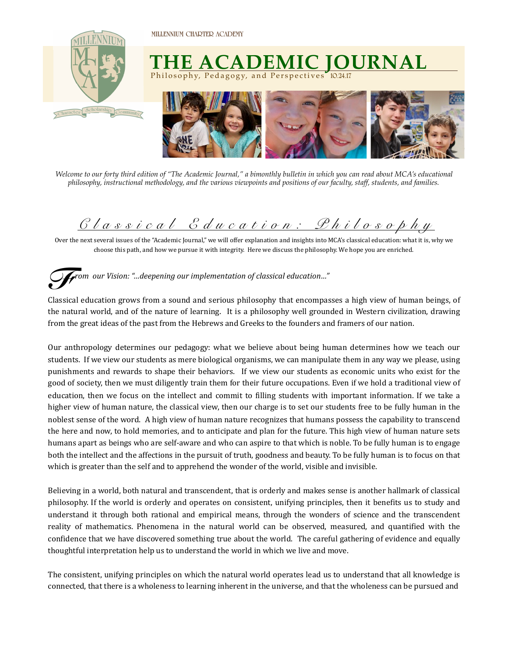

## **THE ACADEMIC JOURNAL** Philosophy, Pedagogy, and Perspectives **10.24.17**



*Welcome to our forty third edition of "The Academic Journal," a bimonthly bulletin in which you can read about MCA's educational philosophy, instructional methodology, and the various viewpoints and positions of our faculty, staff, students, and families.* 

## *Classical Educatio n: Philosophy*

Over the next several issues of the "Academic Journal," we will offer explanation and insights into MCA's classical education: what it is, why we choose this path, and how we pursue it with integrity. Here we discuss the philosophy. We hope you are enriched.

## *rom our Vision: "…deepening our implementation of classical education…" F*

Classical education grows from a sound and serious philosophy that encompasses a high view of human beings, of the natural world, and of the nature of learning. It is a philosophy well grounded in Western civilization, drawing from the great ideas of the past from the Hebrews and Greeks to the founders and framers of our nation.

Our anthropology determines our pedagogy: what we believe about being human determines how we teach our students. If we view our students as mere biological organisms, we can manipulate them in any way we please, using punishments and rewards to shape their behaviors. If we view our students as economic units who exist for the good of society, then we must diligently train them for their future occupations. Even if we hold a traditional view of education, then we focus on the intellect and commit to filling students with important information. If we take a higher view of human nature, the classical view, then our charge is to set our students free to be fully human in the noblest sense of the word. A high view of human nature recognizes that humans possess the capability to transcend the here and now, to hold memories, and to anticipate and plan for the future. This high view of human nature sets humans apart as beings who are self-aware and who can aspire to that which is noble. To be fully human is to engage both the intellect and the affections in the pursuit of truth, goodness and beauty. To be fully human is to focus on that which is greater than the self and to apprehend the wonder of the world, visible and invisible.

Believing in a world, both natural and transcendent, that is orderly and makes sense is another hallmark of classical philosophy. If the world is orderly and operates on consistent, unifying principles, then it benefits us to study and understand it through both rational and empirical means, through the wonders of science and the transcendent reality of mathematics. Phenomena in the natural world can be observed, measured, and quantified with the confidence that we have discovered something true about the world. The careful gathering of evidence and equally thoughtful interpretation help us to understand the world in which we live and move.

The consistent, unifying principles on which the natural world operates lead us to understand that all knowledge is connected, that there is a wholeness to learning inherent in the universe, and that the wholeness can be pursued and